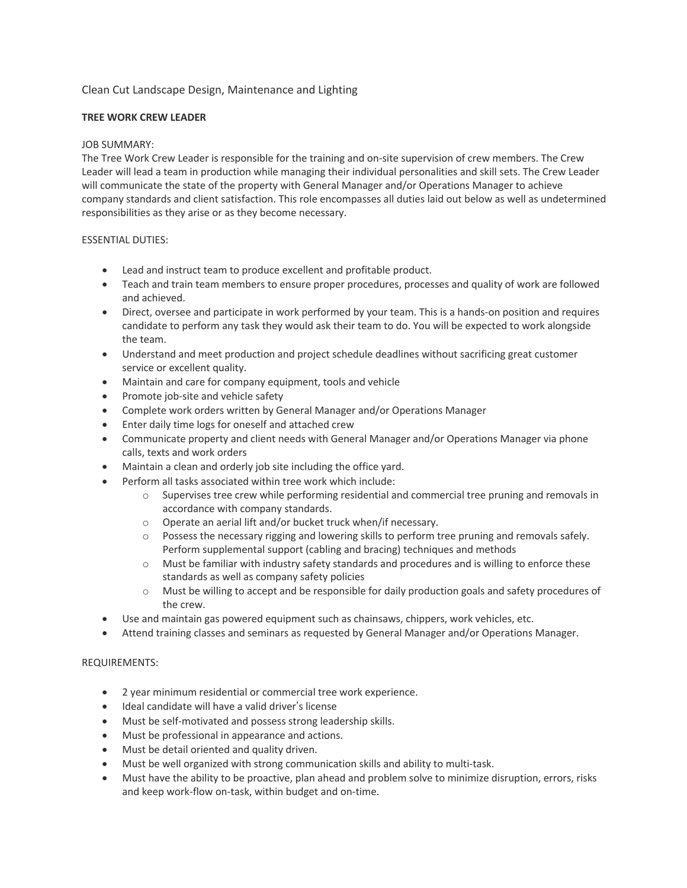# Clean Cut Landscape Design, Maintenance and Lighting

## **TREE WORK CREW LEADER**

## JOB SUMMARY:

The Tree Work Crew Leader is responsible for the training and on-site supervision of crew members. The Crew Leader will lead a team in production while managing their individual personalities and skill sets. The Crew Leader will communicate the state of the property with General Manager and/or Operations Manager to achieve company standards and client satisfaction. This role encompasses all duties laid out below as well as undetermined responsibilities as they arise or as they become necessary.

# ESSENTIAL DUTIES:

- Lead and instruct team to produce excellent and profitable product.
- Teach and train team members to ensure proper procedures, processes and quality of work are followed and achieved.
- Direct, oversee and participate in work performed by your team. This is a hands-on position and requires candidate to perform any task they would ask their team to do. You will be expected to work alongside the team.
- Understand and meet production and project schedule deadlines without sacrificing great customer service or excellent quality.
- Maintain and care for company equipment, tools and vehicle
- Promote job-site and vehicle safety
- Complete work orders written by General Manager and/or Operations Manager
- Enter daily time logs for oneself and attached crew
- Communicate property and client needs with General Manager and/or Operations Manager via phone calls, texts and work orders
- Maintain a clean and orderly job site including the office yard.
- Perform all tasks associated within tree work which include:
	- o Supervises tree crew while performing residential and commercial tree pruning and removals in accordance with company standards.
	- o Operate an aerial lift and/or bucket truck when/if necessary.
	- o Possess the necessary rigging and lowering skills to perform tree pruning and removals safely. Perform supplemental support (cabling and bracing) techniques and methods
	- o Must be familiar with industry safety standards and procedures and is willing to enforce these standards as well as company safety policies
	- o Must be willing to accept and be responsible for daily production goals and safety procedures of the crew.
- Use and maintain gas powered equipment such as chainsaws, chippers, work vehicles, etc.
- Attend training classes and seminars as requested by General Manager and/or Operations Manager.

### REQUIREMENTS:

- 2 year minimum residential or commercial tree work experience.
- Ideal candidate will have a valid driver's license
- Must be self-motivated and possess strong leadership skills.
- Must be professional in appearance and actions.
- Must be detail oriented and quality driven.
- Must be well organized with strong communication skills and ability to multi-task.
- Must have the ability to be proactive, plan ahead and problem solve to minimize disruption, errors, risks and keep work-flow on-task, within budget and on-time.